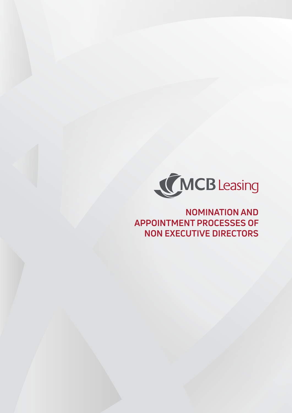

# **NOMINATION AND APPOINTMENT PROCESSES OF NON EXECUTIVE DIRECTORS**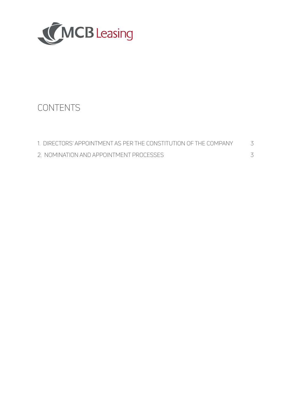

# CONTENTS

| 1. DIRECTORS' APPOINTMENT AS PER THE CONSTITUTION OF THE COMPANY |  |
|------------------------------------------------------------------|--|
| 2. NOMINATION AND APPOINTMENT PROCESSES                          |  |